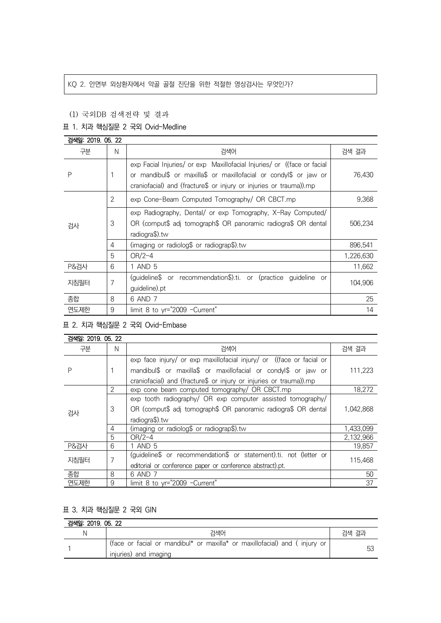#### KQ 2. 안면부 외상환자에서 악골 골절 진단을 위한 적절한 영상검사는 무엇인가?

## (1) 국외DB 검색전략 및 결과

# 표 1. 치과 핵심질문 2 국외 Ovid-Medline

| 검색일: 2019, 05, 22 |                |                                                                                                                                                                                                                    |           |  |
|-------------------|----------------|--------------------------------------------------------------------------------------------------------------------------------------------------------------------------------------------------------------------|-----------|--|
| 구분                | N              | 검색어                                                                                                                                                                                                                | 검색 결과     |  |
| P                 |                | exp Facial Injuries/ or exp Maxillofacial Injuries/ or ((face or facial<br>or mandibul\$ or maxilla\$ or maxillofacial or condyl\$ or jaw or<br>craniofacial) and (fracture\$ or injury or injuries or trauma)).mp | 76,430    |  |
| 검사                | $\overline{2}$ | exp Cone-Beam Computed Tomography/ OR CBCT.mp                                                                                                                                                                      | 9,368     |  |
|                   | 3              | exp Radiography, Dental/ or exp Tomography, X-Ray Computed/<br>OR (comput\$ adj tomograph\$ OR panoramic radiogra\$ OR dental<br>radiogra\$).tw                                                                    | 506,234   |  |
|                   | 4              | (imaging or radiolog\$ or radiograp\$).tw                                                                                                                                                                          | 896,541   |  |
|                   | 5              | $OR/2-4$                                                                                                                                                                                                           | 1,226,630 |  |
| <b>P&amp;검사</b>   | 6              | 1 AND 5                                                                                                                                                                                                            | 11,662    |  |
| 지침필터              | 7              | (guideline\$ or recommendation\$).ti. or (practice<br>guideline or<br>guideline).pt                                                                                                                                | 104,906   |  |
| 종합                | 8              | 6 AND 7                                                                                                                                                                                                            | 25        |  |
| 연도제한              | 9              | limit 8 to yr="2009 -Current"                                                                                                                                                                                      | 14        |  |

표 2. 치과 핵심질문 2 국외 Ovid-Embase

| 검색일: 2019. 05. 22 |               |                                                                      |           |  |
|-------------------|---------------|----------------------------------------------------------------------|-----------|--|
| 구분                | N             | 검색어                                                                  | 검색 결과     |  |
| P                 |               | exp face injury/ or exp maxillofacial injury/ or ((face or facial or |           |  |
|                   |               | mandibul\$ or maxilla\$ or maxillofacial or condyl\$ or jaw or       | 111,223   |  |
|                   |               | craniofacial) and (fracture\$ or injury or injuries or trauma)).mp   |           |  |
| 검사                | $\mathcal{P}$ | exp cone beam computed tomography/ OR CBCT.mp                        | 18,272    |  |
|                   | 3             | exp tooth radiography/ OR exp computer assisted tomography/          |           |  |
|                   |               | OR (comput\$ adj tomograph\$ OR panoramic radiogra\$ OR dental       | 1.042.868 |  |
|                   |               | radiogra\$).tw                                                       |           |  |
|                   | 4             | (imaging or radiolog\$ or radiograp\$).tw                            | 1,433,099 |  |
|                   | 5             | $OR/2-4$                                                             | 2,132,966 |  |
| <b>P&amp;검사</b>   | 6             | 1 AND 5                                                              | 19,857    |  |
| 지침필터              | 7             | (guideline\$ or recommendation\$ or statement).ti. not (letter or    | 115,468   |  |
|                   |               | editorial or conference paper or conference abstract).pt.            |           |  |
| 종합                | 8             | 6 AND 7                                                              | 50        |  |
| 연도제한              | 9             | limit 8 to yr="2009 -Current"                                        | 37        |  |

# 표 3. 치과 핵심질문 2 국외 GIN

| 검색일: 2019, 05, 22 |                                                                                                    |       |  |
|-------------------|----------------------------------------------------------------------------------------------------|-------|--|
|                   | 검색어                                                                                                | 검색 결과 |  |
|                   | (face or facial or mandibul* or maxilla* or maxillofacial) and (injury or<br>injuries) and imaging |       |  |